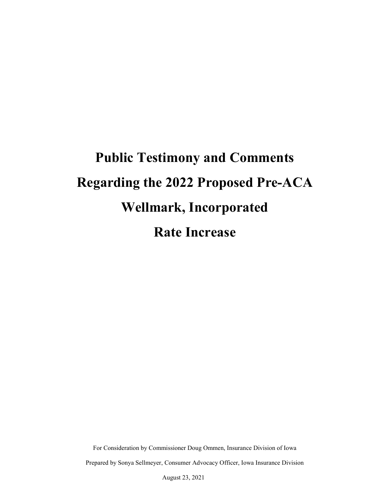# **Public Testimony and Comments Regarding the 2022 Proposed Pre-ACA Wellmark, Incorporated Rate Increase**

For Consideration by Commissioner Doug Ommen, Insurance Division of Iowa Prepared by Sonya Sellmeyer, Consumer Advocacy Officer, Iowa Insurance Division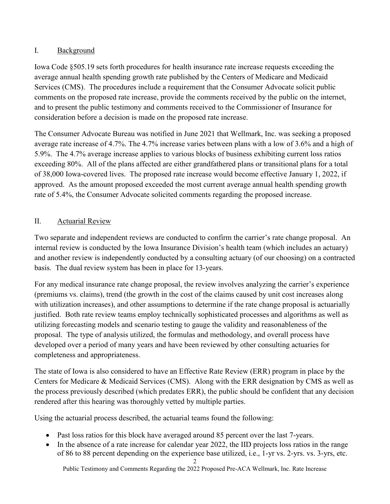# I. Background

Iowa Code §505.19 sets forth procedures for health insurance rate increase requests exceeding the average annual health spending growth rate published by the Centers of Medicare and Medicaid Services (CMS). The procedures include a requirement that the Consumer Advocate solicit public comments on the proposed rate increase, provide the comments received by the public on the internet, and to present the public testimony and comments received to the Commissioner of Insurance for consideration before a decision is made on the proposed rate increase.

The Consumer Advocate Bureau was notified in June 2021 that Wellmark, Inc. was seeking a proposed average rate increase of 4.7%. The 4.7% increase varies between plans with a low of 3.6% and a high of 5.9%. The 4.7% average increase applies to various blocks of business exhibiting current loss ratios exceeding 80%. All of the plans affected are either grandfathered plans or transitional plans for a total of 38,000 Iowa-covered lives. The proposed rate increase would become effective January 1, 2022, if approved. As the amount proposed exceeded the most current average annual health spending growth rate of 5.4%, the Consumer Advocate solicited comments regarding the proposed increase.

# II. Actuarial Review

Two separate and independent reviews are conducted to confirm the carrier's rate change proposal. An internal review is conducted by the Iowa Insurance Division's health team (which includes an actuary) and another review is independently conducted by a consulting actuary (of our choosing) on a contracted basis. The dual review system has been in place for 13-years.

For any medical insurance rate change proposal, the review involves analyzing the carrier's experience (premiums vs. claims), trend (the growth in the cost of the claims caused by unit cost increases along with utilization increases), and other assumptions to determine if the rate change proposal is actuarially justified. Both rate review teams employ technically sophisticated processes and algorithms as well as utilizing forecasting models and scenario testing to gauge the validity and reasonableness of the proposal. The type of analysis utilized, the formulas and methodology, and overall process have developed over a period of many years and have been reviewed by other consulting actuaries for completeness and appropriateness.

The state of Iowa is also considered to have an Effective Rate Review (ERR) program in place by the Centers for Medicare & Medicaid Services (CMS). Along with the ERR designation by CMS as well as the process previously described (which predates ERR), the public should be confident that any decision rendered after this hearing was thoroughly vetted by multiple parties.

Using the actuarial process described, the actuarial teams found the following:

- Past loss ratios for this block have averaged around 85 percent over the last 7-years.
- In the absence of a rate increase for calendar year 2022, the IID projects loss ratios in the range of 86 to 88 percent depending on the experience base utilized, i.e., 1-yr vs. 2-yrs. vs. 3-yrs, etc.

Public Testimony and Comments Regarding the 2022 Proposed Pre-ACA Wellmark, Inc. Rate Increase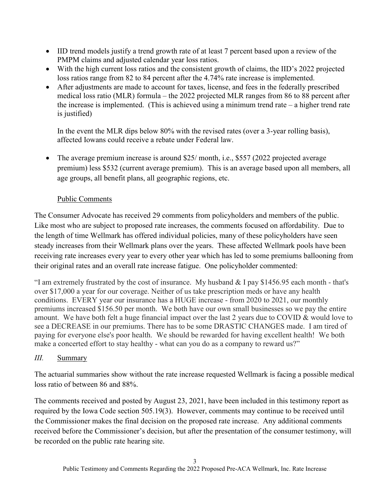- IID trend models justify a trend growth rate of at least 7 percent based upon a review of the PMPM claims and adjusted calendar year loss ratios.
- With the high current loss ratios and the consistent growth of claims, the IID's 2022 projected loss ratios range from 82 to 84 percent after the 4.74% rate increase is implemented.
- After adjustments are made to account for taxes, license, and fees in the federally prescribed medical loss ratio (MLR) formula – the 2022 projected MLR ranges from 86 to 88 percent after the increase is implemented. (This is achieved using a minimum trend rate – a higher trend rate is justified)

In the event the MLR dips below 80% with the revised rates (over a 3-year rolling basis), affected Iowans could receive a rebate under Federal law.

• The average premium increase is around  $$25/$  month, i.e.,  $$557$  (2022 projected average premium) less \$532 (current average premium). This is an average based upon all members, all age groups, all benefit plans, all geographic regions, etc.

# Public Comments

The Consumer Advocate has received 29 comments from policyholders and members of the public. Like most who are subject to proposed rate increases, the comments focused on affordability. Due to the length of time Wellmark has offered individual policies, many of these policyholders have seen steady increases from their Wellmark plans over the years. These affected Wellmark pools have been receiving rate increases every year to every other year which has led to some premiums ballooning from their original rates and an overall rate increase fatigue. One policyholder commented:

"I am extremely frustrated by the cost of insurance. My husband  $&$  I pay \$1456.95 each month - that's over \$17,000 a year for our coverage. Neither of us take prescription meds or have any health conditions. EVERY year our insurance has a HUGE increase - from 2020 to 2021, our monthly premiums increased \$156.50 per month. We both have our own small businesses so we pay the entire amount. We have both felt a huge financial impact over the last 2 years due to COVID & would love to see a DECREASE in our premiums. There has to be some DRASTIC CHANGES made. I am tired of paying for everyone else's poor health. We should be rewarded for having excellent health! We both make a concerted effort to stay healthy - what can you do as a company to reward us?"

# *III.* Summary

The actuarial summaries show without the rate increase requested Wellmark is facing a possible medical loss ratio of between 86 and 88%.

The comments received and posted by August 23, 2021, have been included in this testimony report as required by the Iowa Code section 505.19(3). However, comments may continue to be received until the Commissioner makes the final decision on the proposed rate increase. Any additional comments received before the Commissioner's decision, but after the presentation of the consumer testimony, will be recorded on the public rate hearing site.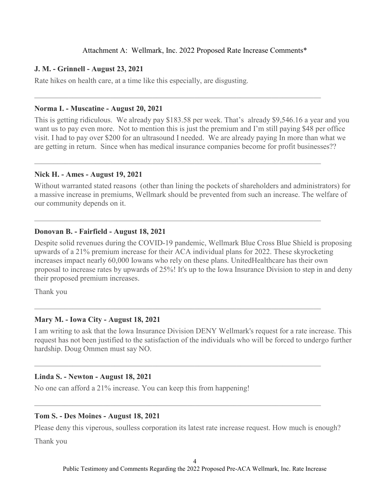## Attachment A: Wellmark, Inc. 2022 Proposed Rate Increase Comments\*

## **J. M. - Grinnell - August 23, 2021**

Rate hikes on health care, at a time like this especially, are disgusting.

### **Norma I. - Muscatine - August 20, 2021**

This is getting ridiculous. We already pay \$183.58 per week. That's already \$9,546.16 a year and you want us to pay even more. Not to mention this is just the premium and I'm still paying \$48 per office visit. I had to pay over \$200 for an ultrasound I needed. We are already paying In more than what we are getting in return. Since when has medical insurance companies become for profit businesses??

 $\mathcal{L}_\text{max} = \frac{1}{2} \sum_{i=1}^{n} \frac{1}{2} \sum_{i=1}^{n} \frac{1}{2} \sum_{i=1}^{n} \frac{1}{2} \sum_{i=1}^{n} \frac{1}{2} \sum_{i=1}^{n} \frac{1}{2} \sum_{i=1}^{n} \frac{1}{2} \sum_{i=1}^{n} \frac{1}{2} \sum_{i=1}^{n} \frac{1}{2} \sum_{i=1}^{n} \frac{1}{2} \sum_{i=1}^{n} \frac{1}{2} \sum_{i=1}^{n} \frac{1}{2} \sum_{i=1}^{n} \frac{1$ 

 $\mathcal{L}_\mathcal{L} = \mathcal{L}_\mathcal{L} = \mathcal{L}_\mathcal{L} = \mathcal{L}_\mathcal{L} = \mathcal{L}_\mathcal{L} = \mathcal{L}_\mathcal{L} = \mathcal{L}_\mathcal{L} = \mathcal{L}_\mathcal{L} = \mathcal{L}_\mathcal{L} = \mathcal{L}_\mathcal{L} = \mathcal{L}_\mathcal{L} = \mathcal{L}_\mathcal{L} = \mathcal{L}_\mathcal{L} = \mathcal{L}_\mathcal{L} = \mathcal{L}_\mathcal{L} = \mathcal{L}_\mathcal{L} = \mathcal{L}_\mathcal{L}$ 

 $\mathcal{L}_\text{max} = \frac{1}{2} \sum_{i=1}^{n} \frac{1}{2} \sum_{i=1}^{n} \frac{1}{2} \sum_{i=1}^{n} \frac{1}{2} \sum_{i=1}^{n} \frac{1}{2} \sum_{i=1}^{n} \frac{1}{2} \sum_{i=1}^{n} \frac{1}{2} \sum_{i=1}^{n} \frac{1}{2} \sum_{i=1}^{n} \frac{1}{2} \sum_{i=1}^{n} \frac{1}{2} \sum_{i=1}^{n} \frac{1}{2} \sum_{i=1}^{n} \frac{1}{2} \sum_{i=1}^{n} \frac{1$ 

## **Nick H. - Ames - August 19, 2021**

Without warranted stated reasons (other than lining the pockets of shareholders and administrators) for a massive increase in premiums, Wellmark should be prevented from such an increase. The welfare of our community depends on it.

## **Donovan B. - Fairfield - August 18, 2021**

Despite solid revenues during the COVID-19 pandemic, Wellmark Blue Cross Blue Shield is proposing upwards of a 21% premium increase for their ACA individual plans for 2022. These skyrocketing increases impact nearly 60,000 Iowans who rely on these plans. UnitedHealthcare has their own proposal to increase rates by upwards of 25%! It's up to the Iowa Insurance Division to step in and deny their proposed premium increases.

Thank you

## **Mary M. - Iowa City - August 18, 2021**

I am writing to ask that the Iowa Insurance Division DENY Wellmark's request for a rate increase. This request has not been justified to the satisfaction of the individuals who will be forced to undergo further hardship. Doug Ommen must say NO.

 $\mathcal{L}_\mathcal{L} = \mathcal{L}_\mathcal{L} = \mathcal{L}_\mathcal{L} = \mathcal{L}_\mathcal{L} = \mathcal{L}_\mathcal{L} = \mathcal{L}_\mathcal{L} = \mathcal{L}_\mathcal{L} = \mathcal{L}_\mathcal{L} = \mathcal{L}_\mathcal{L} = \mathcal{L}_\mathcal{L} = \mathcal{L}_\mathcal{L} = \mathcal{L}_\mathcal{L} = \mathcal{L}_\mathcal{L} = \mathcal{L}_\mathcal{L} = \mathcal{L}_\mathcal{L} = \mathcal{L}_\mathcal{L} = \mathcal{L}_\mathcal{L}$ 

 $\mathcal{L}_\text{max} = \frac{1}{2} \sum_{i=1}^{n} \frac{1}{2} \sum_{i=1}^{n} \frac{1}{2} \sum_{i=1}^{n} \frac{1}{2} \sum_{i=1}^{n} \frac{1}{2} \sum_{i=1}^{n} \frac{1}{2} \sum_{i=1}^{n} \frac{1}{2} \sum_{i=1}^{n} \frac{1}{2} \sum_{i=1}^{n} \frac{1}{2} \sum_{i=1}^{n} \frac{1}{2} \sum_{i=1}^{n} \frac{1}{2} \sum_{i=1}^{n} \frac{1}{2} \sum_{i=1}^{n} \frac{1$ 

## **Linda S. - Newton - August 18, 2021**

No one can afford a 21% increase. You can keep this from happening!

## **Tom S. - Des Moines - August 18, 2021**

Please deny this viperous, soulless corporation its latest rate increase request. How much is enough?

Thank you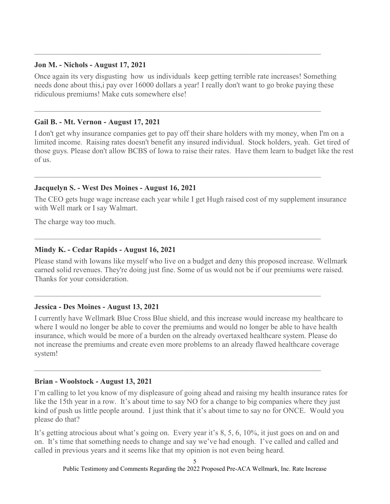## **Jon M. - Nichols - August 17, 2021**

Once again its very disgusting how us individuals keep getting terrible rate increases! Something needs done about this,i pay over 16000 dollars a year! I really don't want to go broke paying these ridiculous premiums! Make cuts somewhere else!

 $\mathcal{L}_\text{max} = \frac{1}{2} \sum_{i=1}^{n} \frac{1}{2} \sum_{i=1}^{n} \frac{1}{2} \sum_{i=1}^{n} \frac{1}{2} \sum_{i=1}^{n} \frac{1}{2} \sum_{i=1}^{n} \frac{1}{2} \sum_{i=1}^{n} \frac{1}{2} \sum_{i=1}^{n} \frac{1}{2} \sum_{i=1}^{n} \frac{1}{2} \sum_{i=1}^{n} \frac{1}{2} \sum_{i=1}^{n} \frac{1}{2} \sum_{i=1}^{n} \frac{1}{2} \sum_{i=1}^{n} \frac{1$ 

 $\mathcal{L}_\text{max} = \frac{1}{2} \sum_{i=1}^{n} \frac{1}{2} \sum_{i=1}^{n} \frac{1}{2} \sum_{i=1}^{n} \frac{1}{2} \sum_{i=1}^{n} \frac{1}{2} \sum_{i=1}^{n} \frac{1}{2} \sum_{i=1}^{n} \frac{1}{2} \sum_{i=1}^{n} \frac{1}{2} \sum_{i=1}^{n} \frac{1}{2} \sum_{i=1}^{n} \frac{1}{2} \sum_{i=1}^{n} \frac{1}{2} \sum_{i=1}^{n} \frac{1}{2} \sum_{i=1}^{n} \frac{1$ 

 $\mathcal{L}_\text{max} = \frac{1}{2} \sum_{i=1}^{n} \frac{1}{2} \sum_{i=1}^{n} \frac{1}{2} \sum_{i=1}^{n} \frac{1}{2} \sum_{i=1}^{n} \frac{1}{2} \sum_{i=1}^{n} \frac{1}{2} \sum_{i=1}^{n} \frac{1}{2} \sum_{i=1}^{n} \frac{1}{2} \sum_{i=1}^{n} \frac{1}{2} \sum_{i=1}^{n} \frac{1}{2} \sum_{i=1}^{n} \frac{1}{2} \sum_{i=1}^{n} \frac{1}{2} \sum_{i=1}^{n} \frac{1$ 

## **Gail B. - Mt. Vernon - August 17, 2021**

I don't get why insurance companies get to pay off their share holders with my money, when I'm on a limited income. Raising rates doesn't benefit any insured individual. Stock holders, yeah. Get tired of those guys. Please don't allow BCBS of Iowa to raise their rates. Have them learn to budget like the rest of us.

## **Jacquelyn S. - West Des Moines - August 16, 2021**

The CEO gets huge wage increase each year while I get Hugh raised cost of my supplement insurance with Well mark or I say Walmart.

The charge way too much.

## **Mindy K. - Cedar Rapids - August 16, 2021**

Please stand with Iowans like myself who live on a budget and deny this proposed increase. Wellmark earned solid revenues. They're doing just fine. Some of us would not be if our premiums were raised. Thanks for your consideration.

## **Jessica - Des Moines - August 13, 2021**

I currently have Wellmark Blue Cross Blue shield, and this increase would increase my healthcare to where I would no longer be able to cover the premiums and would no longer be able to have health insurance, which would be more of a burden on the already overtaxed healthcare system. Please do not increase the premiums and create even more problems to an already flawed healthcare coverage system!

 $\mathcal{L}_\text{max} = \frac{1}{2} \sum_{i=1}^{n} \frac{1}{2} \sum_{i=1}^{n} \frac{1}{2} \sum_{i=1}^{n} \frac{1}{2} \sum_{i=1}^{n} \frac{1}{2} \sum_{i=1}^{n} \frac{1}{2} \sum_{i=1}^{n} \frac{1}{2} \sum_{i=1}^{n} \frac{1}{2} \sum_{i=1}^{n} \frac{1}{2} \sum_{i=1}^{n} \frac{1}{2} \sum_{i=1}^{n} \frac{1}{2} \sum_{i=1}^{n} \frac{1}{2} \sum_{i=1}^{n} \frac{1$ 

## **Brian - Woolstock - August 13, 2021**

I'm calling to let you know of my displeasure of going ahead and raising my health insurance rates for like the 15th year in a row. It's about time to say NO for a change to big companies where they just kind of push us little people around. I just think that it's about time to say no for ONCE. Would you please do that?

It's getting atrocious about what's going on. Every year it's 8, 5, 6, 10%, it just goes on and on and on. It's time that something needs to change and say we've had enough. I've called and called and called in previous years and it seems like that my opinion is not even being heard.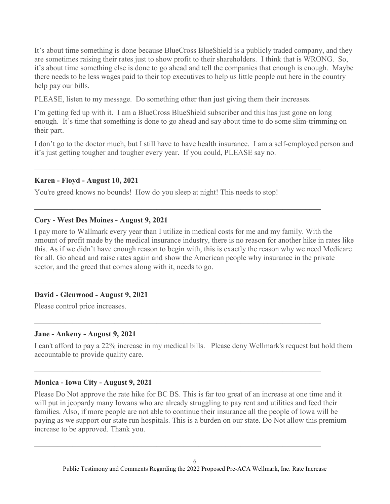It's about time something is done because BlueCross BlueShield is a publicly traded company, and they are sometimes raising their rates just to show profit to their shareholders. I think that is WRONG. So, it's about time something else is done to go ahead and tell the companies that enough is enough. Maybe there needs to be less wages paid to their top executives to help us little people out here in the country help pay our bills.

PLEASE, listen to my message. Do something other than just giving them their increases.

I'm getting fed up with it. I am a BlueCross BlueShield subscriber and this has just gone on long enough. It's time that something is done to go ahead and say about time to do some slim-trimming on their part.

I don't go to the doctor much, but I still have to have health insurance. I am a self-employed person and it's just getting tougher and tougher every year. If you could, PLEASE say no.

## **Karen - Floyd - August 10, 2021**

You're greed knows no bounds! How do you sleep at night! This needs to stop!

 $\mathcal{L}_\text{max} = \frac{1}{2} \sum_{i=1}^{n} \frac{1}{2} \sum_{i=1}^{n} \frac{1}{2} \sum_{i=1}^{n} \frac{1}{2} \sum_{i=1}^{n} \frac{1}{2} \sum_{i=1}^{n} \frac{1}{2} \sum_{i=1}^{n} \frac{1}{2} \sum_{i=1}^{n} \frac{1}{2} \sum_{i=1}^{n} \frac{1}{2} \sum_{i=1}^{n} \frac{1}{2} \sum_{i=1}^{n} \frac{1}{2} \sum_{i=1}^{n} \frac{1}{2} \sum_{i=1}^{n} \frac{1$ 

 $\mathcal{L}_\text{max} = \frac{1}{2} \sum_{i=1}^{n} \frac{1}{2} \sum_{i=1}^{n} \frac{1}{2} \sum_{i=1}^{n} \frac{1}{2} \sum_{i=1}^{n} \frac{1}{2} \sum_{i=1}^{n} \frac{1}{2} \sum_{i=1}^{n} \frac{1}{2} \sum_{i=1}^{n} \frac{1}{2} \sum_{i=1}^{n} \frac{1}{2} \sum_{i=1}^{n} \frac{1}{2} \sum_{i=1}^{n} \frac{1}{2} \sum_{i=1}^{n} \frac{1}{2} \sum_{i=1}^{n} \frac{1$ 

 $\mathcal{L}_\text{max} = \frac{1}{2} \sum_{i=1}^{n} \frac{1}{2} \sum_{i=1}^{n} \frac{1}{2} \sum_{i=1}^{n} \frac{1}{2} \sum_{i=1}^{n} \frac{1}{2} \sum_{i=1}^{n} \frac{1}{2} \sum_{i=1}^{n} \frac{1}{2} \sum_{i=1}^{n} \frac{1}{2} \sum_{i=1}^{n} \frac{1}{2} \sum_{i=1}^{n} \frac{1}{2} \sum_{i=1}^{n} \frac{1}{2} \sum_{i=1}^{n} \frac{1}{2} \sum_{i=1}^{n} \frac{1$ 

 $\mathcal{L}_\text{max} = \frac{1}{2} \sum_{i=1}^{n} \frac{1}{2} \sum_{i=1}^{n} \frac{1}{2} \sum_{i=1}^{n} \frac{1}{2} \sum_{i=1}^{n} \frac{1}{2} \sum_{i=1}^{n} \frac{1}{2} \sum_{i=1}^{n} \frac{1}{2} \sum_{i=1}^{n} \frac{1}{2} \sum_{i=1}^{n} \frac{1}{2} \sum_{i=1}^{n} \frac{1}{2} \sum_{i=1}^{n} \frac{1}{2} \sum_{i=1}^{n} \frac{1}{2} \sum_{i=1}^{n} \frac{1$ 

## **Cory - West Des Moines - August 9, 2021**

I pay more to Wallmark every year than I utilize in medical costs for me and my family. With the amount of profit made by the medical insurance industry, there is no reason for another hike in rates like this. As if we didn't have enough reason to begin with, this is exactly the reason why we need Medicare for all. Go ahead and raise rates again and show the American people why insurance in the private sector, and the greed that comes along with it, needs to go.

## **David - Glenwood - August 9, 2021**

Please control price increases.

## **Jane - Ankeny - August 9, 2021**

I can't afford to pay a 22% increase in my medical bills. Please deny Wellmark's request but hold them accountable to provide quality care.

## **Monica - Iowa City - August 9, 2021**

Please Do Not approve the rate hike for BC BS. This is far too great of an increase at one time and it will put in jeopardy many Iowans who are already struggling to pay rent and utilities and feed their families. Also, if more people are not able to continue their insurance all the people of Iowa will be paying as we support our state run hospitals. This is a burden on our state. Do Not allow this premium increase to be approved. Thank you.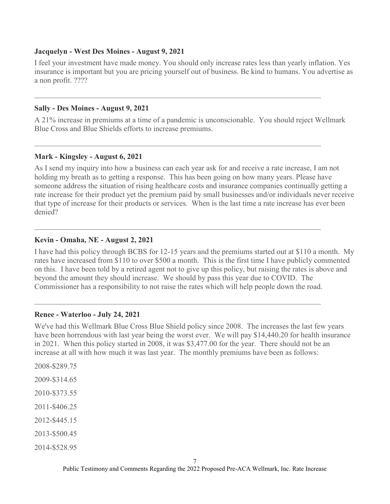#### **Jacquelyn - West Des Moines - August 9, 2021**

I feel your investment have made money. You should only increase rates less than yearly inflation. Yes insurance is important but you are pricing yourself out of business. Be kind to humans. You advertise as a non profit. ????

## **Sally - Des Moines - August 9, 2021**

A 21% increase in premiums at a time of a pandemic is unconscionable. You should reject Wellmark Blue Cross and Blue Shields efforts to increase premiums.

 $\mathcal{L}_\text{max} = \frac{1}{2} \sum_{i=1}^{n} \frac{1}{2} \sum_{i=1}^{n} \frac{1}{2} \sum_{i=1}^{n} \frac{1}{2} \sum_{i=1}^{n} \frac{1}{2} \sum_{i=1}^{n} \frac{1}{2} \sum_{i=1}^{n} \frac{1}{2} \sum_{i=1}^{n} \frac{1}{2} \sum_{i=1}^{n} \frac{1}{2} \sum_{i=1}^{n} \frac{1}{2} \sum_{i=1}^{n} \frac{1}{2} \sum_{i=1}^{n} \frac{1}{2} \sum_{i=1}^{n} \frac{1$ 

 $\mathcal{L}_\text{max} = \frac{1}{2} \sum_{i=1}^{n} \frac{1}{2} \sum_{i=1}^{n} \frac{1}{2} \sum_{i=1}^{n} \frac{1}{2} \sum_{i=1}^{n} \frac{1}{2} \sum_{i=1}^{n} \frac{1}{2} \sum_{i=1}^{n} \frac{1}{2} \sum_{i=1}^{n} \frac{1}{2} \sum_{i=1}^{n} \frac{1}{2} \sum_{i=1}^{n} \frac{1}{2} \sum_{i=1}^{n} \frac{1}{2} \sum_{i=1}^{n} \frac{1}{2} \sum_{i=1}^{n} \frac{1$ 

 $\mathcal{L}_\text{max} = \frac{1}{2} \sum_{i=1}^{n} \frac{1}{2} \sum_{i=1}^{n} \frac{1}{2} \sum_{i=1}^{n} \frac{1}{2} \sum_{i=1}^{n} \frac{1}{2} \sum_{i=1}^{n} \frac{1}{2} \sum_{i=1}^{n} \frac{1}{2} \sum_{i=1}^{n} \frac{1}{2} \sum_{i=1}^{n} \frac{1}{2} \sum_{i=1}^{n} \frac{1}{2} \sum_{i=1}^{n} \frac{1}{2} \sum_{i=1}^{n} \frac{1}{2} \sum_{i=1}^{n} \frac{1$ 

 $\mathcal{L}_\text{max} = \frac{1}{2} \sum_{i=1}^{n} \frac{1}{2} \sum_{i=1}^{n} \frac{1}{2} \sum_{i=1}^{n} \frac{1}{2} \sum_{i=1}^{n} \frac{1}{2} \sum_{i=1}^{n} \frac{1}{2} \sum_{i=1}^{n} \frac{1}{2} \sum_{i=1}^{n} \frac{1}{2} \sum_{i=1}^{n} \frac{1}{2} \sum_{i=1}^{n} \frac{1}{2} \sum_{i=1}^{n} \frac{1}{2} \sum_{i=1}^{n} \frac{1}{2} \sum_{i=1}^{n} \frac{1$ 

## **Mark - Kingsley - August 6, 2021**

As I send my inquiry into how a business can each year ask for and receive a rate increase, I am not holding my breath as to getting a response. This has been going on how many years. Please have someone address the situation of rising healthcare costs and insurance companies continually getting a rate increase for their product yet the premium paid by small businesses and/or individuals never receive that type of increase for their products or services. When is the last time a rate increase has ever been denied?

## **Kevin - Omaha, NE - August 2, 2021**

I have had this policy through BCBS for 12-15 years and the premiums started out at \$110 a month. My rates have increased from \$110 to over \$500 a month. This is the first time I have publicly commented on this. I have been told by a retired agent not to give up this policy, but raising the rates is above and beyond the amount they should increase. We should by pass this year due to COVID. The Commissioner has a responsibility to not raise the rates which will help people down the road.

#### **Renee - Waterloo - July 24, 2021**

We've had this Wellmark Blue Cross Blue Shield policy since 2008. The increases the last few years have been horrendous with last year being the worst ever. We will pay \$14,440.20 for health insurance in 2021. When this policy started in 2008, it was \$3,477.00 for the year. There should not be an increase at all with how much it was last year. The monthly premiums have been as follows:

2008-\$289.75 2009-\$314.65 2010-\$373.55 2011-\$406.25 2012-\$445.15 2013-\$500.45 2014-\$528.95

Public Testimony and Comments Regarding the 2022 Proposed Pre-ACA Wellmark, Inc. Rate Increase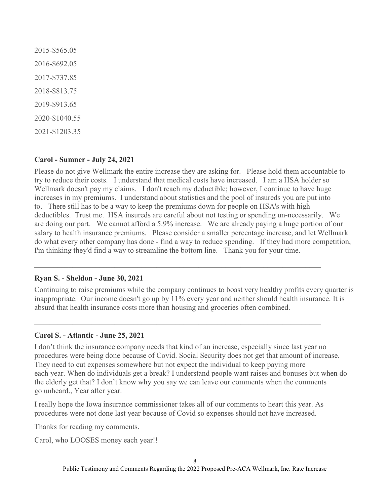2015-\$565.05 2016-\$692.05 2017-\$737.85 2018-\$813.75 2019-\$913.65 2020-\$1040.55 2021-\$1203.35

## **Carol - Sumner - July 24, 2021**

Please do not give Wellmark the entire increase they are asking for. Please hold them accountable to try to reduce their costs. I understand that medical costs have increased. I am a HSA holder so Wellmark doesn't pay my claims. I don't reach my deductible; however, I continue to have huge increases in my premiums. I understand about statistics and the pool of insureds you are put into to. There still has to be a way to keep the premiums down for people on HSA's with high deductibles. Trust me. HSA insureds are careful about not testing or spending un-necessarily. We are doing our part. We cannot afford a 5.9% increase. We are already paying a huge portion of our salary to health insurance premiums. Please consider a smaller percentage increase, and let Wellmark do what every other company has done - find a way to reduce spending. If they had more competition, I'm thinking they'd find a way to streamline the bottom line. Thank you for your time.

## **Ryan S. - Sheldon - June 30, 2021**

Continuing to raise premiums while the company continues to boast very healthy profits every quarter is inappropriate. Our income doesn't go up by 11% every year and neither should health insurance. It is absurd that health insurance costs more than housing and groceries often combined.

 $\mathcal{L}_\text{max} = \frac{1}{2} \sum_{i=1}^{n} \frac{1}{2} \sum_{i=1}^{n} \frac{1}{2} \sum_{i=1}^{n} \frac{1}{2} \sum_{i=1}^{n} \frac{1}{2} \sum_{i=1}^{n} \frac{1}{2} \sum_{i=1}^{n} \frac{1}{2} \sum_{i=1}^{n} \frac{1}{2} \sum_{i=1}^{n} \frac{1}{2} \sum_{i=1}^{n} \frac{1}{2} \sum_{i=1}^{n} \frac{1}{2} \sum_{i=1}^{n} \frac{1}{2} \sum_{i=1}^{n} \frac{1$ 

## **Carol S. - Atlantic - June 25, 2021**

I don't think the insurance company needs that kind of an increase, especially since last year no procedures were being done because of Covid. Social Security does not get that amount of increase. They need to cut expenses somewhere but not expect the individual to keep paying more each year. When do individuals get a break? I understand people want raises and bonuses but when do the elderly get that? I don't know why you say we can leave our comments when the comments go unheard., Year after year.

I really hope the Iowa insurance commissioner takes all of our comments to heart this year. As procedures were not done last year because of Covid so expenses should not have increased.

Thanks for reading my comments.

Carol, who LOOSES money each year!!